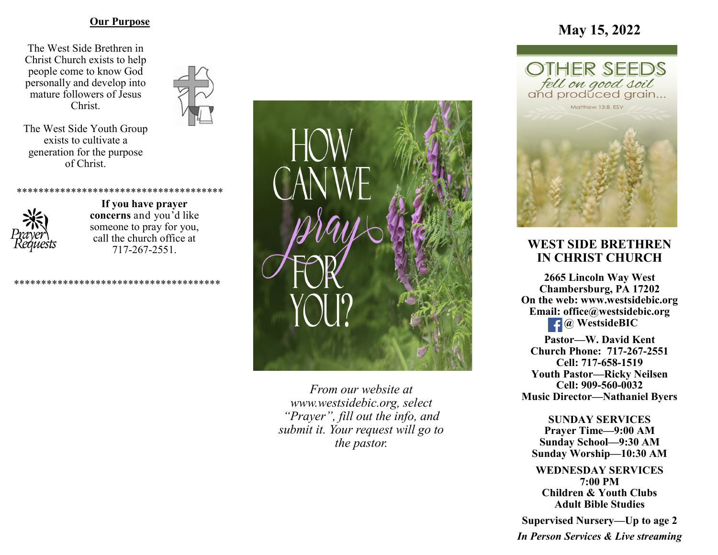### **Our Purpose**

The West Side Brethren in Christ Church exists to help people come to know God personally and develop into mature followers of Jesus Christ.



The West Side Youth Group exists to cultivate a generation for the purpose of Christ.



**If you have prayer concerns** and you'd like someone to pray for you, call the church office at 717-267-2551.

\*\*\*\*\*\*\*\*\*\*\*\*\*\*\*\*\*\*\*\*\*\*\*\*\*\*\*\*\*\*\*\*\*\*\*\*\*\*

\*\*\*\*\*\*\*\*\*\*\*\*\*\*\*\*\*\*\*\*\*\*\*\*\*\*\*\*\*\*\*\*\*\*\*\*\*\*



*From our website at www.westsidebic.org, select "Prayer", fill out the info, and submit it. Your request will go to the pastor.*

# **May 15, 2022**



## **WEST SIDE BRETHREN IN CHRIST CHURCH**

**2665 Lincoln Way West Chambersburg, PA 17202 On the web: [www.westsidebic.org](http://www.westsidebic.org) Email: office@westsidebic.org** *g <u>g</u> WestsideBIC* 

**Pastor—W. David Kent Church Phone: 717-267-2551 Cell: 717-658-1519 Youth Pastor—Ricky Neilsen Cell: 909-560-0032 Music Director—Nathaniel Byers**

**SUNDAY SERVICES Prayer Time—9:00 AM Sunday School—9:30 AM Sunday Worship—10:30 AM**

**WEDNESDAY SERVICES 7:00 PM Children & Youth Clubs Adult Bible Studies**

**Supervised Nursery—Up to age 2**

*In Person Services & Live streaming*